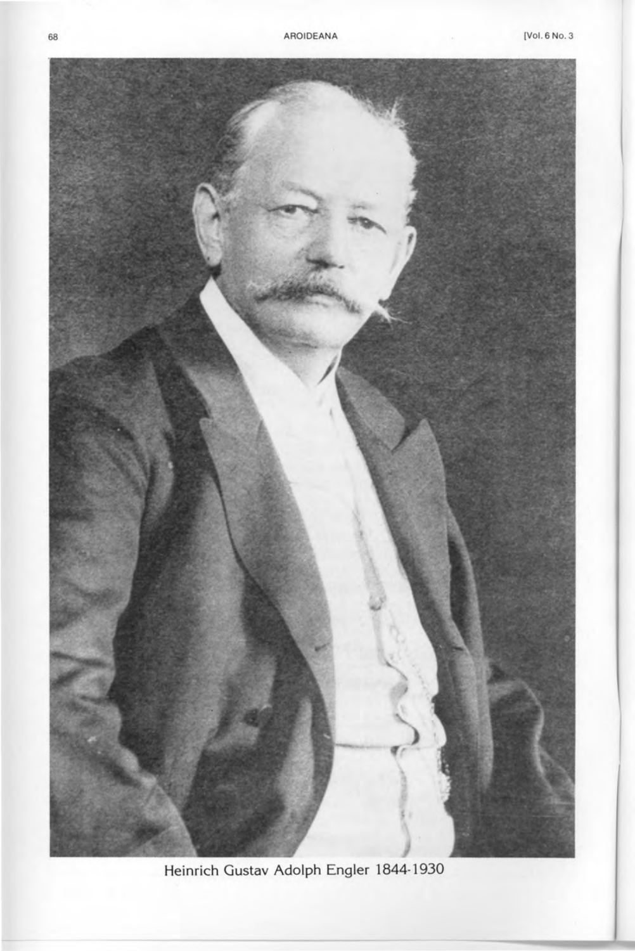

**Heinrich Gustav Adolph Engler 1844-1930**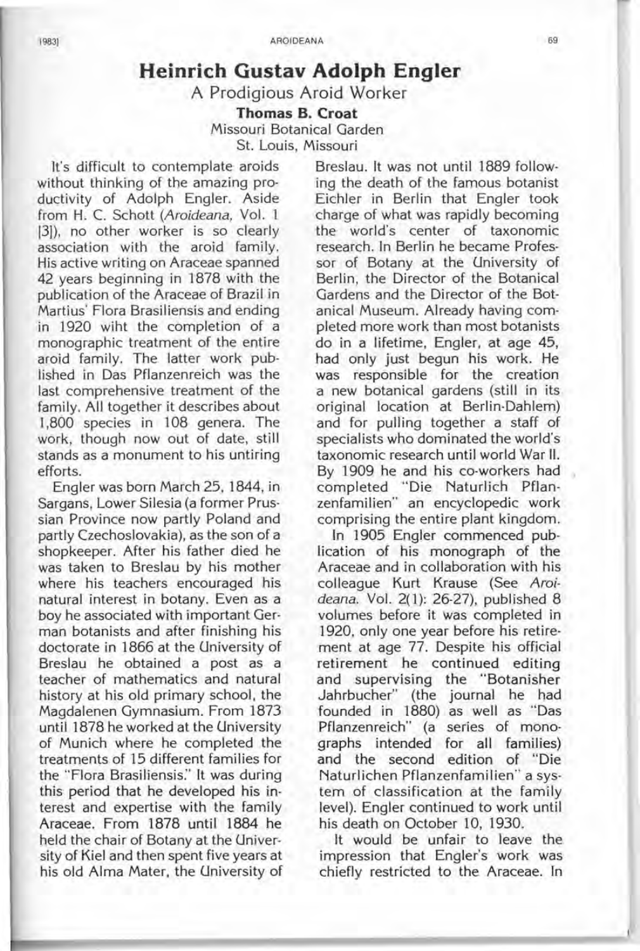## **Heinrich Gustav Adolph Engler**

A Prodigious Aroid Worker

**Thomas B. Croat** 

Missouri Botanical Garden St. Louis, Missouri

It's difficult to contemplate aroids Breslau. It was not until 1889 followwithout thinking of the amazing pro- ing the death of the famous botanist ductivity of Adolph Engler. Aside Eichler in Berlin that Engler took from H. C. Schott *(Aroideana, Vol. 1* charge of what was rapidly becoming (31). no other worker is so clearly the world's center of taxonomic [3]), no other worker is so clearly association with the aroid family. research. In Berlin he became Profes-His active writing on Araceae spanned sor of Botany at the University of 42 years beginning in 1878 with the Berlin, the Director of the Botanical publication of the Araceae of Brazil in Gardens and the Director of the Bot-Martius' Flora Brasiliensis and ending anical Museum. Already having comin 1920 wiht the completion of a pleted more work than most botanists monographic treatment of the entire do in a lifetime. Engler, at age 45, monographic treatment of the entire aroid family. The latter work pub-<br>lished in Das Pflanzenreich was the was responsible for the creation last comprehensive treatment of the a new botanical gardens (still in its family. All together it describes about original location at Berlin-Dahlem) 1,800 species in 108 genera. The and for pulling together a staff of work, though now out of date, still specialists who dominated the world's stands as a monument to his untiring taxonomic research until world War II. efforts. By 1909 he and his co-workers had

Sargans, Lower Silesia (a former Prus- zenfamilien" an encyclopedic work sian Province now partly Poland and comprising the entire plant kingdom. partly Czechoslovakia), as the son of a In 1905 Engler commenced pubshopkeeper. After his father died he Iication of his monograph of the was taken to Breslau by his mother Araceae and in collaboration with his where his teachers encouraged his colleague Kurt Krause (See *Aroi*natural interest in botany. Even as a *deana.* Vol. 2(1): 26-27), published 8 boy he associated with important Ger-<br>volumes before it was completed in man botanists and after finishing his 1920, only one year before his retiredoctorate in 1866 at the University of ment at age 77. Despite his official Breslau he obtained a post as a retirement he continued editing teacher of mathematics and natural and supervising the "Botanisher history at his old primary school, the Jahrbucher" (the journal he had Magdalenen Gymnasium. From 1873 founded in 1880) as well as "Das until 1878 he worked at the University Pflanzenreich" (a series of monoof Munich where he completed the graphs intended for all families) treatments of 15 different families for and the second edition of "Die the "Flora Brasiliensis:' It was during Naturlichen Pflanzenfamilien" a systhis period that he developed his in- tem of classification at the family terest and expertise with the family level). Engler continued to work until Araceae. From 1878 until 1884 he his death on October 10, 1930. held the chair of Botany at the Univer- It would be unfair to leave the sity of Kiel and then spent five years at impression that Engler's work was his old Alma Mater, the University of chiefly restricted to the Araceae. In

was responsible for the creation original location at Berlin-Dahlem) Engler was born March 25, 1844, in completed "Die Naturlich Pflan-